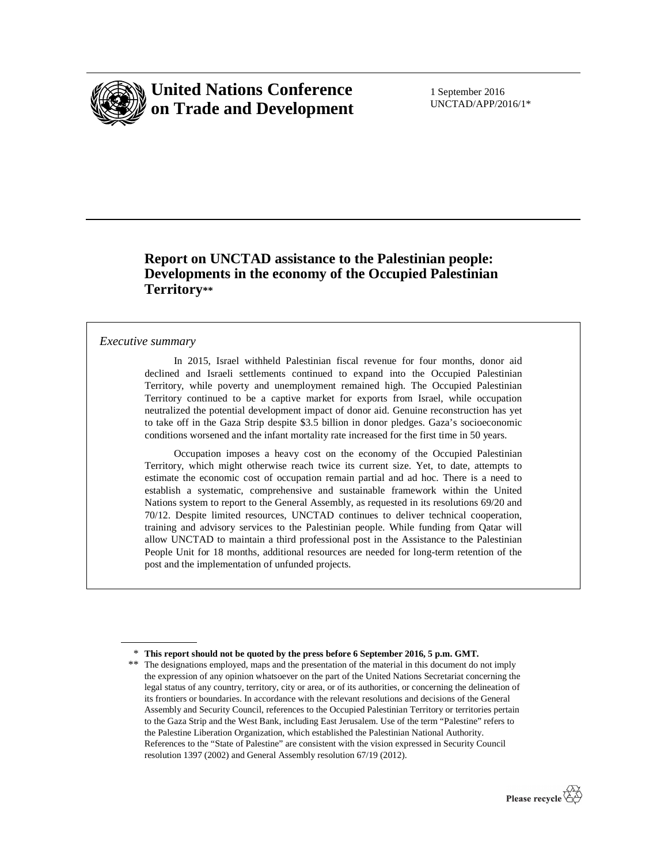

# **United Nations Conference on Trade and Development**

1 September 2016 UNCTAD/APP/2016/1\*

## **Report on UNCTAD assistance to the Palestinian people: Developments in the economy of the Occupied Palestinian Territory\*\***

### *Executive summary*

 $\overline{a}$ 

 In 2015, Israel withheld Palestinian fiscal revenue for four months, donor aid declined and Israeli settlements continued to expand into the Occupied Palestinian Territory, while poverty and unemployment remained high. The Occupied Palestinian Territory continued to be a captive market for exports from Israel, while occupation neutralized the potential development impact of donor aid. Genuine reconstruction has yet to take off in the Gaza Strip despite \$3.5 billion in donor pledges. Gaza's socioeconomic conditions worsened and the infant mortality rate increased for the first time in 50 years.

 Occupation imposes a heavy cost on the economy of the Occupied Palestinian Territory, which might otherwise reach twice its current size. Yet, to date, attempts to estimate the economic cost of occupation remain partial and ad hoc. There is a need to establish a systematic, comprehensive and sustainable framework within the United Nations system to report to the General Assembly, as requested in its resolutions 69/20 and 70/12. Despite limited resources, UNCTAD continues to deliver technical cooperation, training and advisory services to the Palestinian people. While funding from Qatar will allow UNCTAD to maintain a third professional post in the Assistance to the Palestinian People Unit for 18 months, additional resources are needed for long-term retention of the post and the implementation of unfunded projects.

<sup>\*\*</sup> The designations employed, maps and the presentation of the material in this document do not imply the expression of any opinion whatsoever on the part of the United Nations Secretariat concerning the legal status of any country, territory, city or area, or of its authorities, or concerning the delineation of its frontiers or boundaries. In accordance with the relevant resolutions and decisions of the General Assembly and Security Council, references to the Occupied Palestinian Territory or territories pertain to the Gaza Strip and the West Bank, including East Jerusalem. Use of the term "Palestine" refers to the Palestine Liberation Organization, which established the Palestinian National Authority. References to the "State of Palestine" are consistent with the vision expressed in Security Council resolution 1397 (2002) and General Assembly resolution 67/19 (2012).



<sup>\*</sup> **This report should not be quoted by the press before 6 September 2016, 5 p.m. GMT.**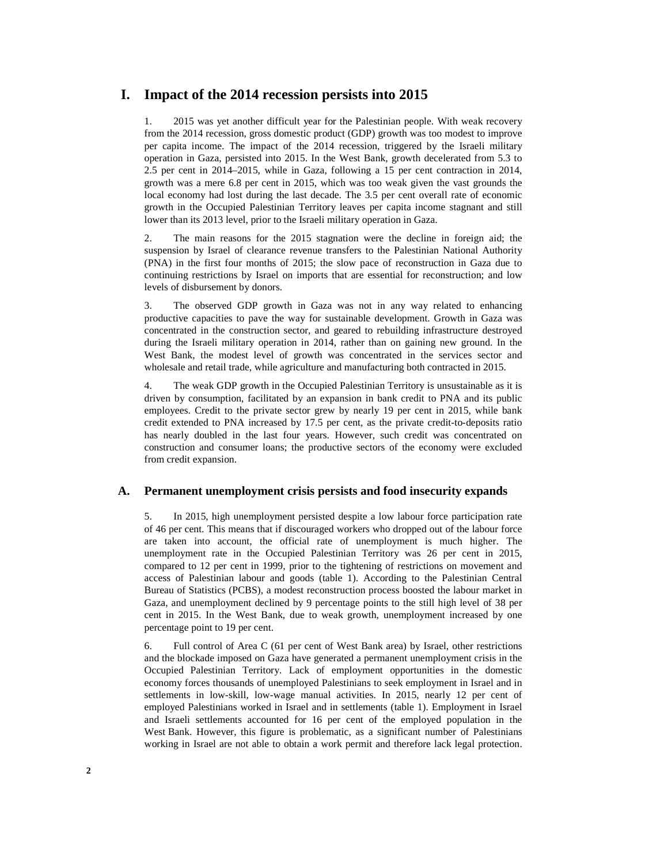### **I. Impact of the 2014 recession persists into 2015**

1. 2015 was yet another difficult year for the Palestinian people. With weak recovery from the 2014 recession, gross domestic product (GDP) growth was too modest to improve per capita income. The impact of the 2014 recession, triggered by the Israeli military operation in Gaza, persisted into 2015. In the West Bank, growth decelerated from 5.3 to 2.5 per cent in 2014–2015, while in Gaza, following a 15 per cent contraction in 2014, growth was a mere 6.8 per cent in 2015, which was too weak given the vast grounds the local economy had lost during the last decade. The 3.5 per cent overall rate of economic growth in the Occupied Palestinian Territory leaves per capita income stagnant and still lower than its 2013 level, prior to the Israeli military operation in Gaza.

2. The main reasons for the 2015 stagnation were the decline in foreign aid; the suspension by Israel of clearance revenue transfers to the Palestinian National Authority (PNA) in the first four months of 2015; the slow pace of reconstruction in Gaza due to continuing restrictions by Israel on imports that are essential for reconstruction; and low levels of disbursement by donors.

3. The observed GDP growth in Gaza was not in any way related to enhancing productive capacities to pave the way for sustainable development. Growth in Gaza was concentrated in the construction sector, and geared to rebuilding infrastructure destroyed during the Israeli military operation in 2014, rather than on gaining new ground. In the West Bank, the modest level of growth was concentrated in the services sector and wholesale and retail trade, while agriculture and manufacturing both contracted in 2015.

4. The weak GDP growth in the Occupied Palestinian Territory is unsustainable as it is driven by consumption, facilitated by an expansion in bank credit to PNA and its public employees. Credit to the private sector grew by nearly 19 per cent in 2015, while bank credit extended to PNA increased by 17.5 per cent, as the private credit-to-deposits ratio has nearly doubled in the last four years. However, such credit was concentrated on construction and consumer loans; the productive sectors of the economy were excluded from credit expansion.

### **A. Permanent unemployment crisis persists and food insecurity expands**

5. In 2015, high unemployment persisted despite a low labour force participation rate of 46 per cent. This means that if discouraged workers who dropped out of the labour force are taken into account, the official rate of unemployment is much higher. The unemployment rate in the Occupied Palestinian Territory was 26 per cent in 2015, compared to 12 per cent in 1999, prior to the tightening of restrictions on movement and access of Palestinian labour and goods (table 1). According to the Palestinian Central Bureau of Statistics (PCBS), a modest reconstruction process boosted the labour market in Gaza, and unemployment declined by 9 percentage points to the still high level of 38 per cent in 2015. In the West Bank, due to weak growth, unemployment increased by one percentage point to 19 per cent.

6. Full control of Area C (61 per cent of West Bank area) by Israel, other restrictions and the blockade imposed on Gaza have generated a permanent unemployment crisis in the Occupied Palestinian Territory. Lack of employment opportunities in the domestic economy forces thousands of unemployed Palestinians to seek employment in Israel and in settlements in low-skill, low-wage manual activities. In 2015, nearly 12 per cent of employed Palestinians worked in Israel and in settlements (table 1). Employment in Israel and Israeli settlements accounted for 16 per cent of the employed population in the West Bank. However, this figure is problematic, as a significant number of Palestinians working in Israel are not able to obtain a work permit and therefore lack legal protection.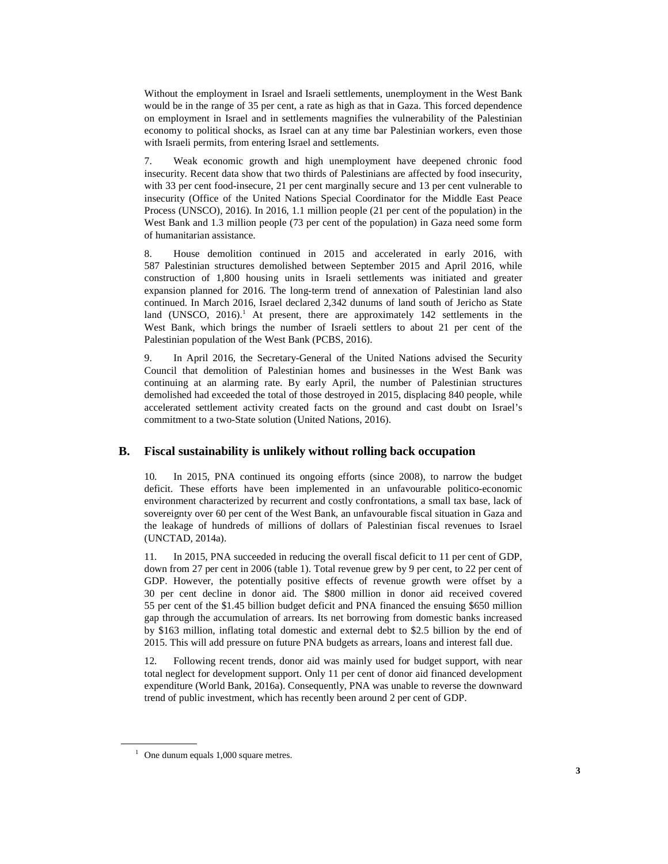Without the employment in Israel and Israeli settlements, unemployment in the West Bank would be in the range of 35 per cent, a rate as high as that in Gaza. This forced dependence on employment in Israel and in settlements magnifies the vulnerability of the Palestinian economy to political shocks, as Israel can at any time bar Palestinian workers, even those with Israeli permits, from entering Israel and settlements.

7. Weak economic growth and high unemployment have deepened chronic food insecurity. Recent data show that two thirds of Palestinians are affected by food insecurity, with 33 per cent food-insecure, 21 per cent marginally secure and 13 per cent vulnerable to insecurity (Office of the United Nations Special Coordinator for the Middle East Peace Process (UNSCO), 2016). In 2016, 1.1 million people (21 per cent of the population) in the West Bank and 1.3 million people (73 per cent of the population) in Gaza need some form of humanitarian assistance.

8. House demolition continued in 2015 and accelerated in early 2016, with 587 Palestinian structures demolished between September 2015 and April 2016, while construction of 1,800 housing units in Israeli settlements was initiated and greater expansion planned for 2016. The long-term trend of annexation of Palestinian land also continued. In March 2016, Israel declared 2,342 dunums of land south of Jericho as State land (UNSCO,  $2016$ ).<sup>1</sup> At present, there are approximately 142 settlements in the West Bank, which brings the number of Israeli settlers to about 21 per cent of the Palestinian population of the West Bank (PCBS, 2016).

9. In April 2016, the Secretary-General of the United Nations advised the Security Council that demolition of Palestinian homes and businesses in the West Bank was continuing at an alarming rate. By early April, the number of Palestinian structures demolished had exceeded the total of those destroyed in 2015, displacing 840 people, while accelerated settlement activity created facts on the ground and cast doubt on Israel's commitment to a two-State solution (United Nations, 2016).

### **B. Fiscal sustainability is unlikely without rolling back occupation**

10. In 2015, PNA continued its ongoing efforts (since 2008), to narrow the budget deficit. These efforts have been implemented in an unfavourable politico-economic environment characterized by recurrent and costly confrontations, a small tax base, lack of sovereignty over 60 per cent of the West Bank, an unfavourable fiscal situation in Gaza and the leakage of hundreds of millions of dollars of Palestinian fiscal revenues to Israel (UNCTAD, 2014a).

11. In 2015, PNA succeeded in reducing the overall fiscal deficit to 11 per cent of GDP, down from 27 per cent in 2006 (table 1). Total revenue grew by 9 per cent, to 22 per cent of GDP. However, the potentially positive effects of revenue growth were offset by a 30 per cent decline in donor aid. The \$800 million in donor aid received covered 55 per cent of the \$1.45 billion budget deficit and PNA financed the ensuing \$650 million gap through the accumulation of arrears. Its net borrowing from domestic banks increased by \$163 million, inflating total domestic and external debt to \$2.5 billion by the end of 2015. This will add pressure on future PNA budgets as arrears, loans and interest fall due.

12. Following recent trends, donor aid was mainly used for budget support, with near total neglect for development support. Only 11 per cent of donor aid financed development expenditure (World Bank, 2016a). Consequently, PNA was unable to reverse the downward trend of public investment, which has recently been around 2 per cent of GDP.

 $\overline{a}$ 

<sup>&</sup>lt;sup>1</sup> One dunum equals 1,000 square metres.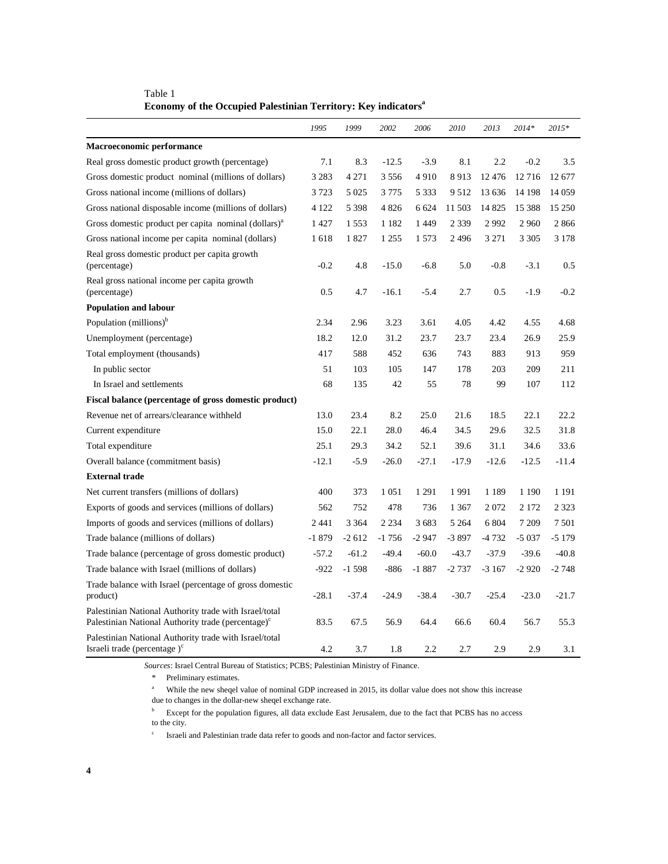|                                                                                                                          | 1995    | 1999    | 2002    | 2006    | 2010    | 2013    | $2014*$ | 2015*   |
|--------------------------------------------------------------------------------------------------------------------------|---------|---------|---------|---------|---------|---------|---------|---------|
| Macroeconomic performance                                                                                                |         |         |         |         |         |         |         |         |
| Real gross domestic product growth (percentage)                                                                          | 7.1     | 8.3     | $-12.5$ | $-3.9$  | 8.1     | 2.2     | $-0.2$  | 3.5     |
| Gross domestic product nominal (millions of dollars)                                                                     | 3 2 8 3 | 4 2 7 1 | 3 5 5 6 | 4910    | 8913    | 12476   | 12716   | 12677   |
| Gross national income (millions of dollars)                                                                              | 3723    | 5 0 2 5 | 3 7 7 5 | 5 3 3 3 | 9 5 12  | 13 636  | 14 198  | 14 0 59 |
| Gross national disposable income (millions of dollars)                                                                   | 4 1 2 2 | 5 3 9 8 | 4 8 2 6 | 6 6 24  | 11 503  | 14 8 25 | 15 388  | 15 250  |
| Gross domestic product per capita nominal (dollars) <sup>a</sup>                                                         | 1427    | 1 5 5 3 | 1 1 8 2 | 1449    | 2 3 3 9 | 2992    | 2 9 6 0 | 2866    |
| Gross national income per capita nominal (dollars)                                                                       | 1618    | 1827    | 1 2 5 5 | 1 5 7 3 | 2496    | 3 2 7 1 | 3 3 0 5 | 3 1 7 8 |
| Real gross domestic product per capita growth<br>(percentage)                                                            | $-0.2$  | 4.8     | $-15.0$ | $-6.8$  | 5.0     | $-0.8$  | $-3.1$  | 0.5     |
| Real gross national income per capita growth<br>(percentage)                                                             | 0.5     | 4.7     | $-16.1$ | $-5.4$  | 2.7     | 0.5     | $-1.9$  | $-0.2$  |
| <b>Population and labour</b>                                                                                             |         |         |         |         |         |         |         |         |
| Population (millions) <sup>b</sup>                                                                                       | 2.34    | 2.96    | 3.23    | 3.61    | 4.05    | 4.42    | 4.55    | 4.68    |
| Unemployment (percentage)                                                                                                | 18.2    | 12.0    | 31.2    | 23.7    | 23.7    | 23.4    | 26.9    | 25.9    |
| Total employment (thousands)                                                                                             | 417     | 588     | 452     | 636     | 743     | 883     | 913     | 959     |
| In public sector                                                                                                         | 51      | 103     | 105     | 147     | 178     | 203     | 209     | 211     |
| In Israel and settlements                                                                                                | 68      | 135     | 42      | 55      | 78      | 99      | 107     | 112     |
| Fiscal balance (percentage of gross domestic product)                                                                    |         |         |         |         |         |         |         |         |
| Revenue net of arrears/clearance withheld                                                                                | 13.0    | 23.4    | 8.2     | 25.0    | 21.6    | 18.5    | 22.1    | 22.2    |
| Current expenditure                                                                                                      | 15.0    | 22.1    | 28.0    | 46.4    | 34.5    | 29.6    | 32.5    | 31.8    |
| Total expenditure                                                                                                        | 25.1    | 29.3    | 34.2    | 52.1    | 39.6    | 31.1    | 34.6    | 33.6    |
| Overall balance (commitment basis)                                                                                       | $-12.1$ | $-5.9$  | $-26.0$ | $-27.1$ | $-17.9$ | $-12.6$ | $-12.5$ | $-11.4$ |
| <b>External trade</b>                                                                                                    |         |         |         |         |         |         |         |         |
| Net current transfers (millions of dollars)                                                                              | 400     | 373     | 1 0 5 1 | 1 2 9 1 | 1991    | 1 1 8 9 | 1 1 9 0 | 1 1 9 1 |
| Exports of goods and services (millions of dollars)                                                                      | 562     | 752     | 478     | 736     | 1 3 6 7 | 2072    | 2 1 7 2 | 2 3 2 3 |
| Imports of goods and services (millions of dollars)                                                                      | 2 4 4 1 | 3 3 6 4 | 2 2 3 4 | 3 683   | 5 2 6 4 | 6 804   | 7 2 0 9 | 7501    |
| Trade balance (millions of dollars)                                                                                      | $-1879$ | $-2612$ | $-1756$ | $-2947$ | $-3897$ | $-4732$ | $-5037$ | $-5179$ |
| Trade balance (percentage of gross domestic product)                                                                     | $-57.2$ | $-61.2$ | $-49.4$ | $-60.0$ | $-43.7$ | $-37.9$ | $-39.6$ | $-40.8$ |
| Trade balance with Israel (millions of dollars)                                                                          | $-922$  | $-1598$ | $-886$  | $-1887$ | $-2737$ | $-3167$ | $-2920$ | $-2748$ |
| Trade balance with Israel (percentage of gross domestic<br>product)                                                      | $-28.1$ | $-37.4$ | $-24.9$ | $-38.4$ | $-30.7$ | $-25.4$ | $-23.0$ | $-21.7$ |
| Palestinian National Authority trade with Israel/total<br>Palestinian National Authority trade (percentage) <sup>c</sup> | 83.5    | 67.5    | 56.9    | 64.4    | 66.6    | 60.4    | 56.7    | 55.3    |
| Palestinian National Authority trade with Israel/total<br>Israeli trade (percentage) <sup>c</sup>                        | 4.2     | 3.7     | 1.8     | 2.2     | 2.7     | 2.9     | 2.9     | 3.1     |

Table 1 **Economy of the Occupied Palestinian Territory: Key indicators<sup>a</sup>**

*Sources*: Israel Central Bureau of Statistics; PCBS; Palestinian Ministry of Finance.

\* Preliminary estimates.

a While the new sheqel value of nominal GDP increased in 2015, its dollar value does not show this increase

due to changes in the dollar-new sheqel exchange rate.

<sup>b</sup> Except for the population figures, all data exclude East Jerusalem, due to the fact that PCBS has no access to the city.

 $\mathbf c$ Israeli and Palestinian trade data refer to goods and non-factor and factor services.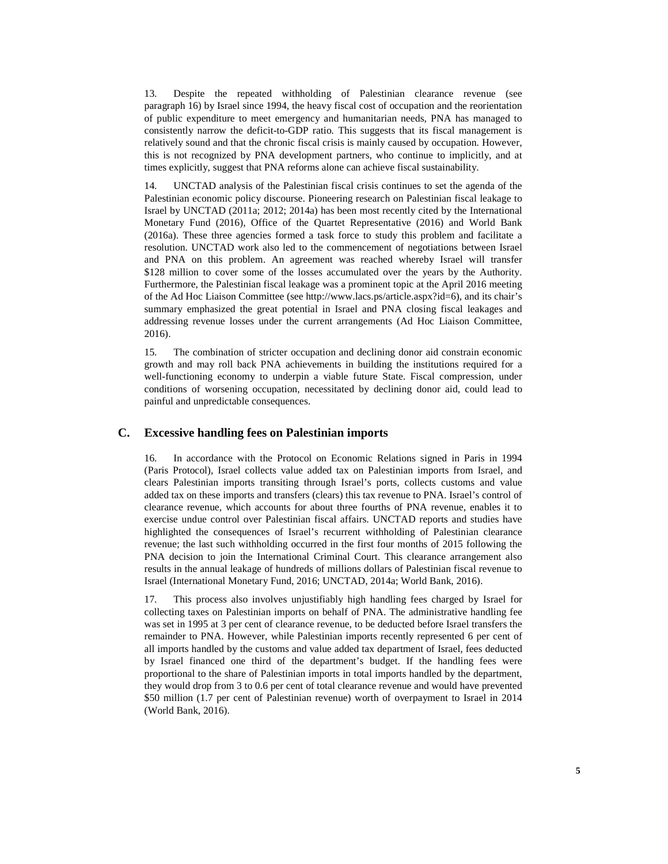13. Despite the repeated withholding of Palestinian clearance revenue (see paragraph 16) by Israel since 1994, the heavy fiscal cost of occupation and the reorientation of public expenditure to meet emergency and humanitarian needs, PNA has managed to consistently narrow the deficit-to-GDP ratio. This suggests that its fiscal management is relatively sound and that the chronic fiscal crisis is mainly caused by occupation. However, this is not recognized by PNA development partners, who continue to implicitly, and at times explicitly, suggest that PNA reforms alone can achieve fiscal sustainability.

14. UNCTAD analysis of the Palestinian fiscal crisis continues to set the agenda of the Palestinian economic policy discourse. Pioneering research on Palestinian fiscal leakage to Israel by UNCTAD (2011a; 2012; 2014a) has been most recently cited by the International Monetary Fund (2016), Office of the Quartet Representative (2016) and World Bank (2016a). These three agencies formed a task force to study this problem and facilitate a resolution. UNCTAD work also led to the commencement of negotiations between Israel and PNA on this problem. An agreement was reached whereby Israel will transfer \$128 million to cover some of the losses accumulated over the years by the Authority. Furthermore, the Palestinian fiscal leakage was a prominent topic at the April 2016 meeting of the Ad Hoc Liaison Committee (see http://www.lacs.ps/article.aspx?id=6), and its chair's summary emphasized the great potential in Israel and PNA closing fiscal leakages and addressing revenue losses under the current arrangements (Ad Hoc Liaison Committee, 2016).

15. The combination of stricter occupation and declining donor aid constrain economic growth and may roll back PNA achievements in building the institutions required for a well-functioning economy to underpin a viable future State. Fiscal compression, under conditions of worsening occupation, necessitated by declining donor aid, could lead to painful and unpredictable consequences.

### **C. Excessive handling fees on Palestinian imports**

16. In accordance with the Protocol on Economic Relations signed in Paris in 1994 (Paris Protocol), Israel collects value added tax on Palestinian imports from Israel, and clears Palestinian imports transiting through Israel's ports, collects customs and value added tax on these imports and transfers (clears) this tax revenue to PNA. Israel's control of clearance revenue, which accounts for about three fourths of PNA revenue, enables it to exercise undue control over Palestinian fiscal affairs. UNCTAD reports and studies have highlighted the consequences of Israel's recurrent withholding of Palestinian clearance revenue; the last such withholding occurred in the first four months of 2015 following the PNA decision to join the International Criminal Court. This clearance arrangement also results in the annual leakage of hundreds of millions dollars of Palestinian fiscal revenue to Israel (International Monetary Fund, 2016; UNCTAD, 2014a; World Bank, 2016).

17. This process also involves unjustifiably high handling fees charged by Israel for collecting taxes on Palestinian imports on behalf of PNA. The administrative handling fee was set in 1995 at 3 per cent of clearance revenue, to be deducted before Israel transfers the remainder to PNA. However, while Palestinian imports recently represented 6 per cent of all imports handled by the customs and value added tax department of Israel, fees deducted by Israel financed one third of the department's budget. If the handling fees were proportional to the share of Palestinian imports in total imports handled by the department, they would drop from 3 to 0.6 per cent of total clearance revenue and would have prevented \$50 million (1.7 per cent of Palestinian revenue) worth of overpayment to Israel in 2014 (World Bank, 2016).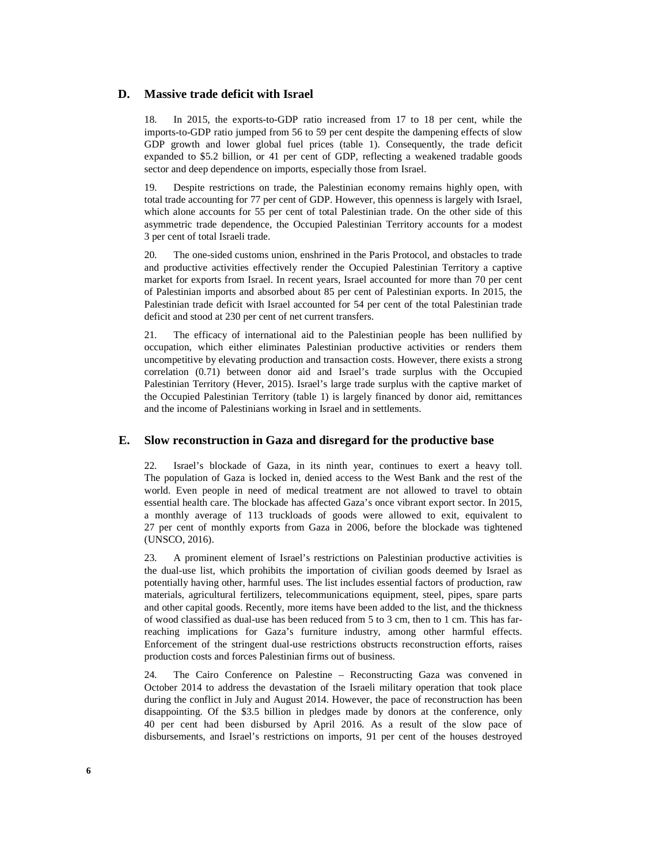### **D. Massive trade deficit with Israel**

18. In 2015, the exports-to-GDP ratio increased from 17 to 18 per cent, while the imports-to-GDP ratio jumped from 56 to 59 per cent despite the dampening effects of slow GDP growth and lower global fuel prices (table 1). Consequently, the trade deficit expanded to \$5.2 billion, or 41 per cent of GDP, reflecting a weakened tradable goods sector and deep dependence on imports, especially those from Israel.

19. Despite restrictions on trade, the Palestinian economy remains highly open, with total trade accounting for 77 per cent of GDP. However, this openness is largely with Israel, which alone accounts for 55 per cent of total Palestinian trade. On the other side of this asymmetric trade dependence, the Occupied Palestinian Territory accounts for a modest 3 per cent of total Israeli trade.

20. The one-sided customs union, enshrined in the Paris Protocol, and obstacles to trade and productive activities effectively render the Occupied Palestinian Territory a captive market for exports from Israel. In recent years, Israel accounted for more than 70 per cent of Palestinian imports and absorbed about 85 per cent of Palestinian exports. In 2015, the Palestinian trade deficit with Israel accounted for 54 per cent of the total Palestinian trade deficit and stood at 230 per cent of net current transfers.

21. The efficacy of international aid to the Palestinian people has been nullified by occupation, which either eliminates Palestinian productive activities or renders them uncompetitive by elevating production and transaction costs. However, there exists a strong correlation (0.71) between donor aid and Israel's trade surplus with the Occupied Palestinian Territory (Hever, 2015). Israel's large trade surplus with the captive market of the Occupied Palestinian Territory (table 1) is largely financed by donor aid, remittances and the income of Palestinians working in Israel and in settlements.

#### **E. Slow reconstruction in Gaza and disregard for the productive base**

22. Israel's blockade of Gaza, in its ninth year, continues to exert a heavy toll. The population of Gaza is locked in, denied access to the West Bank and the rest of the world. Even people in need of medical treatment are not allowed to travel to obtain essential health care. The blockade has affected Gaza's once vibrant export sector. In 2015, a monthly average of 113 truckloads of goods were allowed to exit, equivalent to 27 per cent of monthly exports from Gaza in 2006, before the blockade was tightened (UNSCO, 2016).

23. A prominent element of Israel's restrictions on Palestinian productive activities is the dual-use list, which prohibits the importation of civilian goods deemed by Israel as potentially having other, harmful uses. The list includes essential factors of production, raw materials, agricultural fertilizers, telecommunications equipment, steel, pipes, spare parts and other capital goods. Recently, more items have been added to the list, and the thickness of wood classified as dual-use has been reduced from 5 to 3 cm, then to 1 cm. This has farreaching implications for Gaza's furniture industry, among other harmful effects. Enforcement of the stringent dual-use restrictions obstructs reconstruction efforts, raises production costs and forces Palestinian firms out of business.

24. The Cairo Conference on Palestine – Reconstructing Gaza was convened in October 2014 to address the devastation of the Israeli military operation that took place during the conflict in July and August 2014. However, the pace of reconstruction has been disappointing. Of the \$3.5 billion in pledges made by donors at the conference, only 40 per cent had been disbursed by April 2016. As a result of the slow pace of disbursements, and Israel's restrictions on imports, 91 per cent of the houses destroyed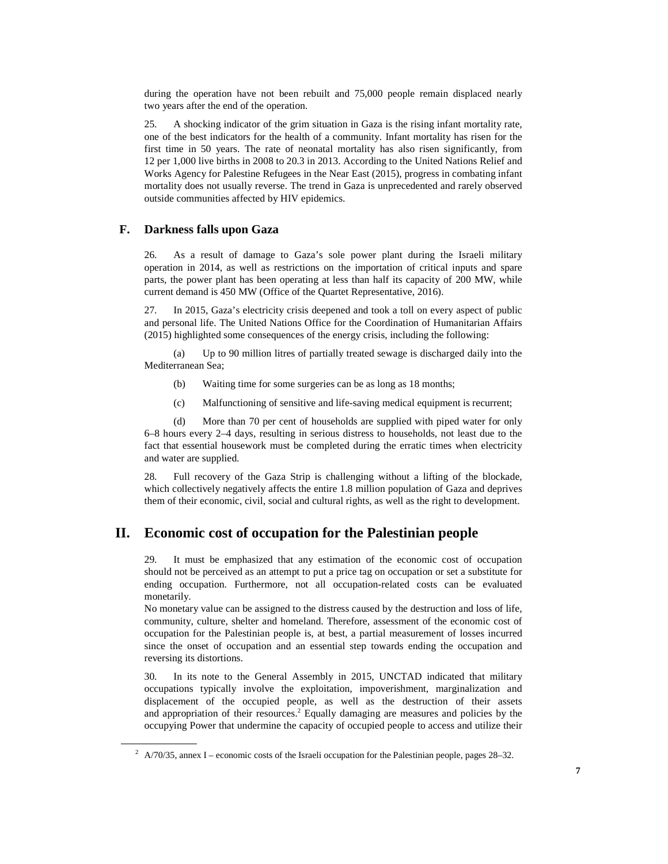during the operation have not been rebuilt and 75,000 people remain displaced nearly two years after the end of the operation.

25. A shocking indicator of the grim situation in Gaza is the rising infant mortality rate, one of the best indicators for the health of a community. Infant mortality has risen for the first time in 50 years. The rate of neonatal mortality has also risen significantly, from 12 per 1,000 live births in 2008 to 20.3 in 2013. According to the United Nations Relief and Works Agency for Palestine Refugees in the Near East (2015), progress in combating infant mortality does not usually reverse. The trend in Gaza is unprecedented and rarely observed outside communities affected by HIV epidemics.

### **F. Darkness falls upon Gaza**

 $\overline{a}$ 

26. As a result of damage to Gaza's sole power plant during the Israeli military operation in 2014, as well as restrictions on the importation of critical inputs and spare parts, the power plant has been operating at less than half its capacity of 200 MW, while current demand is 450 MW (Office of the Quartet Representative, 2016).

27. In 2015, Gaza's electricity crisis deepened and took a toll on every aspect of public and personal life. The United Nations Office for the Coordination of Humanitarian Affairs (2015) highlighted some consequences of the energy crisis, including the following:

 (a) Up to 90 million litres of partially treated sewage is discharged daily into the Mediterranean Sea;

- (b) Waiting time for some surgeries can be as long as 18 months;
- (c) Malfunctioning of sensitive and life-saving medical equipment is recurrent;

 (d) More than 70 per cent of households are supplied with piped water for only 6–8 hours every 2–4 days, resulting in serious distress to households, not least due to the fact that essential housework must be completed during the erratic times when electricity and water are supplied.

28. Full recovery of the Gaza Strip is challenging without a lifting of the blockade, which collectively negatively affects the entire 1.8 million population of Gaza and deprives them of their economic, civil, social and cultural rights, as well as the right to development.

### **II. Economic cost of occupation for the Palestinian people**

29. It must be emphasized that any estimation of the economic cost of occupation should not be perceived as an attempt to put a price tag on occupation or set a substitute for ending occupation. Furthermore, not all occupation-related costs can be evaluated monetarily.

No monetary value can be assigned to the distress caused by the destruction and loss of life, community, culture, shelter and homeland. Therefore, assessment of the economic cost of occupation for the Palestinian people is, at best, a partial measurement of losses incurred since the onset of occupation and an essential step towards ending the occupation and reversing its distortions.

30. In its note to the General Assembly in 2015, UNCTAD indicated that military occupations typically involve the exploitation, impoverishment, marginalization and displacement of the occupied people, as well as the destruction of their assets and appropriation of their resources.<sup>2</sup> Equally damaging are measures and policies by the occupying Power that undermine the capacity of occupied people to access and utilize their

 $^2$  A/70/35, annex I – economic costs of the Israeli occupation for the Palestinian people, pages 28–32.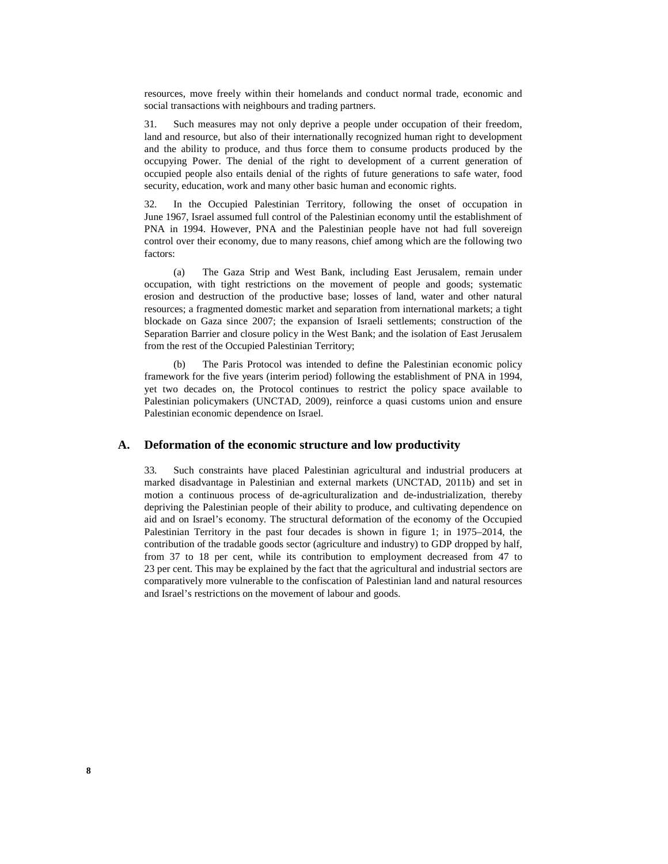resources, move freely within their homelands and conduct normal trade, economic and social transactions with neighbours and trading partners.

31. Such measures may not only deprive a people under occupation of their freedom, land and resource, but also of their internationally recognized human right to development and the ability to produce, and thus force them to consume products produced by the occupying Power. The denial of the right to development of a current generation of occupied people also entails denial of the rights of future generations to safe water, food security, education, work and many other basic human and economic rights.

32. In the Occupied Palestinian Territory, following the onset of occupation in June 1967, Israel assumed full control of the Palestinian economy until the establishment of PNA in 1994. However, PNA and the Palestinian people have not had full sovereign control over their economy, due to many reasons, chief among which are the following two factors:

 (a) The Gaza Strip and West Bank, including East Jerusalem, remain under occupation, with tight restrictions on the movement of people and goods; systematic erosion and destruction of the productive base; losses of land, water and other natural resources; a fragmented domestic market and separation from international markets; a tight blockade on Gaza since 2007; the expansion of Israeli settlements; construction of the Separation Barrier and closure policy in the West Bank; and the isolation of East Jerusalem from the rest of the Occupied Palestinian Territory;

 (b) The Paris Protocol was intended to define the Palestinian economic policy framework for the five years (interim period) following the establishment of PNA in 1994, yet two decades on, the Protocol continues to restrict the policy space available to Palestinian policymakers (UNCTAD, 2009), reinforce a quasi customs union and ensure Palestinian economic dependence on Israel.

### **A. Deformation of the economic structure and low productivity**

33. Such constraints have placed Palestinian agricultural and industrial producers at marked disadvantage in Palestinian and external markets (UNCTAD, 2011b) and set in motion a continuous process of de-agriculturalization and de-industrialization, thereby depriving the Palestinian people of their ability to produce, and cultivating dependence on aid and on Israel's economy. The structural deformation of the economy of the Occupied Palestinian Territory in the past four decades is shown in figure 1; in 1975–2014, the contribution of the tradable goods sector (agriculture and industry) to GDP dropped by half, from 37 to 18 per cent, while its contribution to employment decreased from 47 to 23 per cent. This may be explained by the fact that the agricultural and industrial sectors are comparatively more vulnerable to the confiscation of Palestinian land and natural resources and Israel's restrictions on the movement of labour and goods.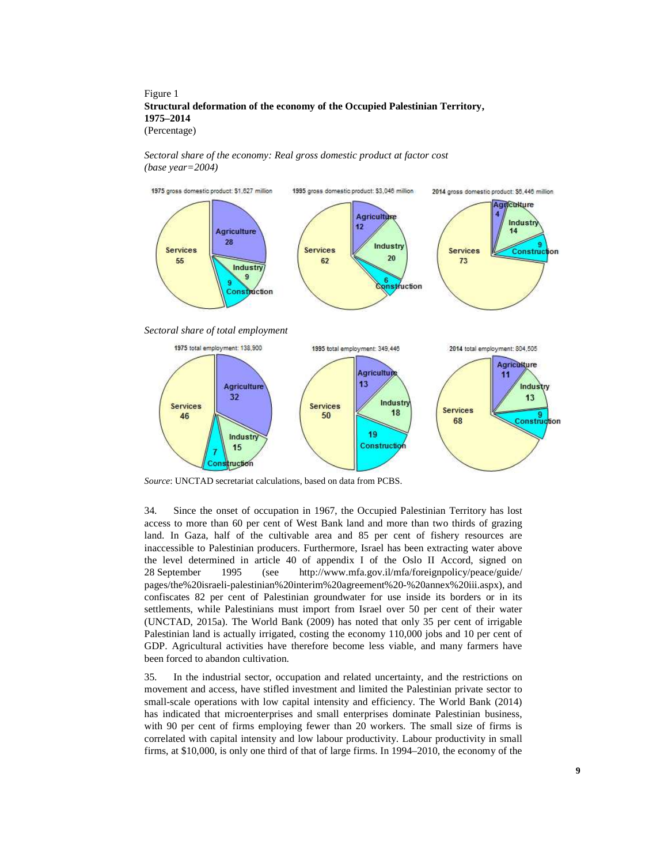#### Figure 1 **Structural deformation of the economy of the Occupied Palestinian Territory, 1975–2014**  (Percentage)

 *Sectoral share of the economy: Real gross domestic product at factor cost (base year=2004)* 



*Source*: UNCTAD secretariat calculations, based on data from PCBS.

34. Since the onset of occupation in 1967, the Occupied Palestinian Territory has lost access to more than 60 per cent of West Bank land and more than two thirds of grazing land. In Gaza, half of the cultivable area and 85 per cent of fishery resources are inaccessible to Palestinian producers. Furthermore, Israel has been extracting water above the level determined in article 40 of appendix I of the Oslo II Accord, signed on 28 September 1995 (see http://www.mfa.gov.il/mfa/foreignpolicy/peace/guide/ pages/the%20israeli-palestinian%20interim%20agreement%20-%20annex%20iii.aspx), and confiscates 82 per cent of Palestinian groundwater for use inside its borders or in its settlements, while Palestinians must import from Israel over 50 per cent of their water (UNCTAD, 2015a). The World Bank (2009) has noted that only 35 per cent of irrigable Palestinian land is actually irrigated, costing the economy 110,000 jobs and 10 per cent of GDP. Agricultural activities have therefore become less viable, and many farmers have been forced to abandon cultivation.

35. In the industrial sector, occupation and related uncertainty, and the restrictions on movement and access, have stifled investment and limited the Palestinian private sector to small-scale operations with low capital intensity and efficiency. The World Bank (2014) has indicated that microenterprises and small enterprises dominate Palestinian business, with 90 per cent of firms employing fewer than 20 workers. The small size of firms is correlated with capital intensity and low labour productivity. Labour productivity in small firms, at \$10,000, is only one third of that of large firms. In 1994–2010, the economy of the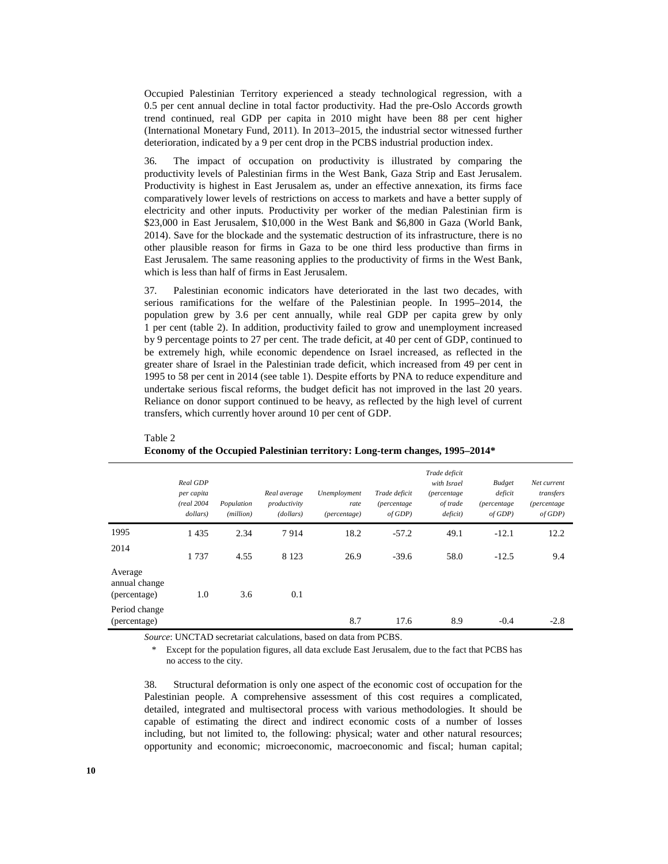Occupied Palestinian Territory experienced a steady technological regression, with a 0.5 per cent annual decline in total factor productivity. Had the pre-Oslo Accords growth trend continued, real GDP per capita in 2010 might have been 88 per cent higher (International Monetary Fund, 2011). In 2013–2015, the industrial sector witnessed further deterioration, indicated by a 9 per cent drop in the PCBS industrial production index.

36. The impact of occupation on productivity is illustrated by comparing the productivity levels of Palestinian firms in the West Bank, Gaza Strip and East Jerusalem. Productivity is highest in East Jerusalem as, under an effective annexation, its firms face comparatively lower levels of restrictions on access to markets and have a better supply of electricity and other inputs. Productivity per worker of the median Palestinian firm is \$23,000 in East Jerusalem, \$10,000 in the West Bank and \$6,800 in Gaza (World Bank, 2014). Save for the blockade and the systematic destruction of its infrastructure, there is no other plausible reason for firms in Gaza to be one third less productive than firms in East Jerusalem. The same reasoning applies to the productivity of firms in the West Bank, which is less than half of firms in East Jerusalem.

37. Palestinian economic indicators have deteriorated in the last two decades, with serious ramifications for the welfare of the Palestinian people. In 1995–2014, the population grew by 3.6 per cent annually, while real GDP per capita grew by only 1 per cent (table 2). In addition, productivity failed to grow and unemployment increased by 9 percentage points to 27 per cent. The trade deficit, at 40 per cent of GDP, continued to be extremely high, while economic dependence on Israel increased, as reflected in the greater share of Israel in the Palestinian trade deficit, which increased from 49 per cent in 1995 to 58 per cent in 2014 (see table 1). Despite efforts by PNA to reduce expenditure and undertake serious fiscal reforms, the budget deficit has not improved in the last 20 years. Reliance on donor support continued to be heavy, as reflected by the high level of current transfers, which currently hover around 10 per cent of GDP.

|                                          | Real GDP<br>per capita<br>(real 2004<br>dollars) | Population<br>(million) | Real average<br>productivity<br>(dollars) | Unemployment<br>rate<br><i>(percentage)</i> | Trade deficit<br><i>(percentage)</i><br>of GDP | Trade deficit<br>with Israel<br><i>(percentage)</i><br>of trade<br>deficit) | <b>Budget</b><br>deficit<br><i>(percentage)</i><br>of GDP | Net current<br>transfers<br>(percentage<br>of GDP |
|------------------------------------------|--------------------------------------------------|-------------------------|-------------------------------------------|---------------------------------------------|------------------------------------------------|-----------------------------------------------------------------------------|-----------------------------------------------------------|---------------------------------------------------|
| 1995                                     | 1 4 3 5                                          | 2.34                    | 7914                                      | 18.2                                        | $-57.2$                                        | 49.1                                                                        | $-12.1$                                                   | 12.2                                              |
| 2014                                     | 1737                                             | 4.55                    | 8 1 2 3                                   | 26.9                                        | $-39.6$                                        | 58.0                                                                        | $-12.5$                                                   | 9.4                                               |
| Average<br>annual change<br>(percentage) | 1.0                                              | 3.6                     | 0.1                                       |                                             |                                                |                                                                             |                                                           |                                                   |
| Period change<br>(percentage)            |                                                  |                         |                                           | 8.7                                         | 17.6                                           | 8.9                                                                         | $-0.4$                                                    | $-2.8$                                            |

 Table 2 **Economy of the Occupied Palestinian territory: Long-term changes, 1995–2014\*** 

*Source*: UNCTAD secretariat calculations, based on data from PCBS.

Except for the population figures, all data exclude East Jerusalem, due to the fact that PCBS has no access to the city.

38. Structural deformation is only one aspect of the economic cost of occupation for the Palestinian people. A comprehensive assessment of this cost requires a complicated, detailed, integrated and multisectoral process with various methodologies. It should be capable of estimating the direct and indirect economic costs of a number of losses including, but not limited to, the following: physical; water and other natural resources; opportunity and economic; microeconomic, macroeconomic and fiscal; human capital;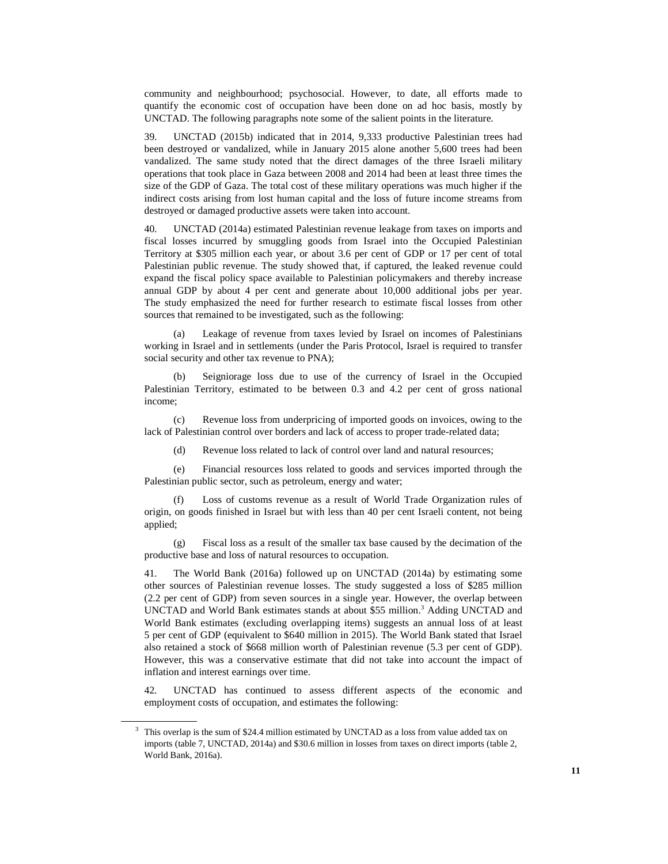community and neighbourhood; psychosocial. However, to date, all efforts made to quantify the economic cost of occupation have been done on ad hoc basis, mostly by UNCTAD. The following paragraphs note some of the salient points in the literature.

39. UNCTAD (2015b) indicated that in 2014, 9,333 productive Palestinian trees had been destroyed or vandalized, while in January 2015 alone another 5,600 trees had been vandalized. The same study noted that the direct damages of the three Israeli military operations that took place in Gaza between 2008 and 2014 had been at least three times the size of the GDP of Gaza. The total cost of these military operations was much higher if the indirect costs arising from lost human capital and the loss of future income streams from destroyed or damaged productive assets were taken into account.

40. UNCTAD (2014a) estimated Palestinian revenue leakage from taxes on imports and fiscal losses incurred by smuggling goods from Israel into the Occupied Palestinian Territory at \$305 million each year, or about 3.6 per cent of GDP or 17 per cent of total Palestinian public revenue. The study showed that, if captured, the leaked revenue could expand the fiscal policy space available to Palestinian policymakers and thereby increase annual GDP by about 4 per cent and generate about 10,000 additional jobs per year. The study emphasized the need for further research to estimate fiscal losses from other sources that remained to be investigated, such as the following:

Leakage of revenue from taxes levied by Israel on incomes of Palestinians working in Israel and in settlements (under the Paris Protocol, Israel is required to transfer social security and other tax revenue to PNA);

 (b) Seigniorage loss due to use of the currency of Israel in the Occupied Palestinian Territory, estimated to be between 0.3 and 4.2 per cent of gross national income;

 (c) Revenue loss from underpricing of imported goods on invoices, owing to the lack of Palestinian control over borders and lack of access to proper trade-related data;

(d) Revenue loss related to lack of control over land and natural resources;

 (e) Financial resources loss related to goods and services imported through the Palestinian public sector, such as petroleum, energy and water;

Loss of customs revenue as a result of World Trade Organization rules of origin, on goods finished in Israel but with less than 40 per cent Israeli content, not being applied;

 (g) Fiscal loss as a result of the smaller tax base caused by the decimation of the productive base and loss of natural resources to occupation.

41. The World Bank (2016a) followed up on UNCTAD (2014a) by estimating some other sources of Palestinian revenue losses. The study suggested a loss of \$285 million (2.2 per cent of GDP) from seven sources in a single year. However, the overlap between UNCTAD and World Bank estimates stands at about \$55 million.<sup>3</sup> Adding UNCTAD and World Bank estimates (excluding overlapping items) suggests an annual loss of at least 5 per cent of GDP (equivalent to \$640 million in 2015). The World Bank stated that Israel also retained a stock of \$668 million worth of Palestinian revenue (5.3 per cent of GDP). However, this was a conservative estimate that did not take into account the impact of inflation and interest earnings over time.

42. UNCTAD has continued to assess different aspects of the economic and employment costs of occupation, and estimates the following:

 $\overline{a}$ 

<sup>3</sup> This overlap is the sum of \$24.4 million estimated by UNCTAD as a loss from value added tax on imports (table 7, UNCTAD, 2014a) and \$30.6 million in losses from taxes on direct imports (table 2, World Bank, 2016a).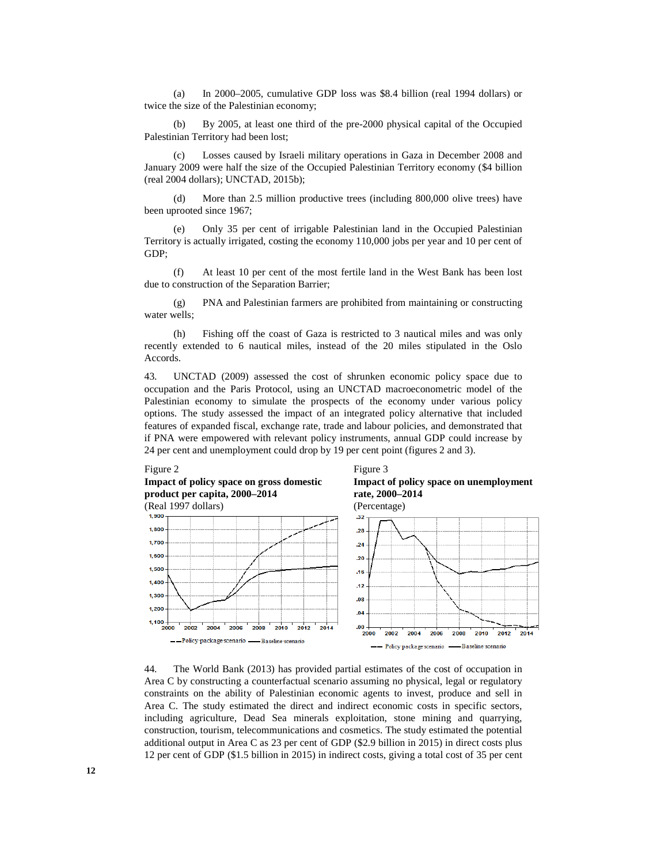(a) In 2000–2005, cumulative GDP loss was \$8.4 billion (real 1994 dollars) or twice the size of the Palestinian economy;

 (b) By 2005, at least one third of the pre-2000 physical capital of the Occupied Palestinian Territory had been lost;

 (c) Losses caused by Israeli military operations in Gaza in December 2008 and January 2009 were half the size of the Occupied Palestinian Territory economy (\$4 billion (real 2004 dollars); UNCTAD, 2015b);

 (d) More than 2.5 million productive trees (including 800,000 olive trees) have been uprooted since 1967;

 (e) Only 35 per cent of irrigable Palestinian land in the Occupied Palestinian Territory is actually irrigated, costing the economy 110,000 jobs per year and 10 per cent of GDP;

 (f) At least 10 per cent of the most fertile land in the West Bank has been lost due to construction of the Separation Barrier;

 (g) PNA and Palestinian farmers are prohibited from maintaining or constructing water wells;

 (h) Fishing off the coast of Gaza is restricted to 3 nautical miles and was only recently extended to 6 nautical miles, instead of the 20 miles stipulated in the Oslo Accords.

43. UNCTAD (2009) assessed the cost of shrunken economic policy space due to occupation and the Paris Protocol, using an UNCTAD macroeconometric model of the Palestinian economy to simulate the prospects of the economy under various policy options. The study assessed the impact of an integrated policy alternative that included features of expanded fiscal, exchange rate, trade and labour policies, and demonstrated that if PNA were empowered with relevant policy instruments, annual GDP could increase by 24 per cent and unemployment could drop by 19 per cent point (figures 2 and 3).

**Impact of policy space on gross domestic** 

**product per capita, 2000–2014** 







44. The World Bank (2013) has provided partial estimates of the cost of occupation in Area C by constructing a counterfactual scenario assuming no physical, legal or regulatory constraints on the ability of Palestinian economic agents to invest, produce and sell in Area C. The study estimated the direct and indirect economic costs in specific sectors, including agriculture, Dead Sea minerals exploitation, stone mining and quarrying, construction, tourism, telecommunications and cosmetics. The study estimated the potential additional output in Area C as 23 per cent of GDP (\$2.9 billion in 2015) in direct costs plus 12 per cent of GDP (\$1.5 billion in 2015) in indirect costs, giving a total cost of 35 per cent

Figure 2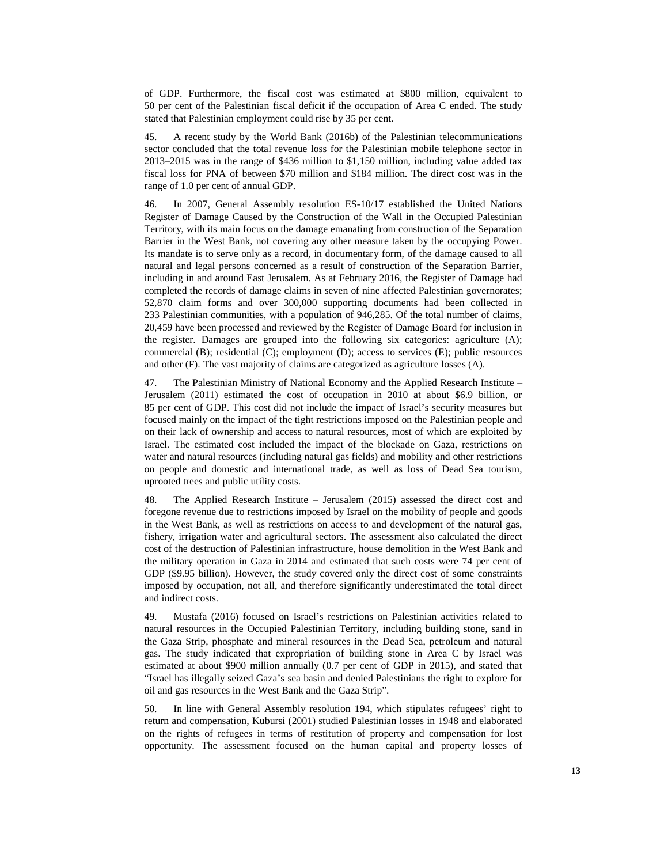of GDP. Furthermore, the fiscal cost was estimated at \$800 million, equivalent to 50 per cent of the Palestinian fiscal deficit if the occupation of Area C ended. The study stated that Palestinian employment could rise by 35 per cent.

45. A recent study by the World Bank (2016b) of the Palestinian telecommunications sector concluded that the total revenue loss for the Palestinian mobile telephone sector in 2013–2015 was in the range of \$436 million to \$1,150 million, including value added tax fiscal loss for PNA of between \$70 million and \$184 million. The direct cost was in the range of 1.0 per cent of annual GDP.

46. In 2007, General Assembly resolution ES-10/17 established the United Nations Register of Damage Caused by the Construction of the Wall in the Occupied Palestinian Territory, with its main focus on the damage emanating from construction of the Separation Barrier in the West Bank, not covering any other measure taken by the occupying Power. Its mandate is to serve only as a record, in documentary form, of the damage caused to all natural and legal persons concerned as a result of construction of the Separation Barrier, including in and around East Jerusalem. As at February 2016, the Register of Damage had completed the records of damage claims in seven of nine affected Palestinian governorates; 52,870 claim forms and over 300,000 supporting documents had been collected in 233 Palestinian communities, with a population of 946,285. Of the total number of claims, 20,459 have been processed and reviewed by the Register of Damage Board for inclusion in the register. Damages are grouped into the following six categories: agriculture (A); commercial (B); residential (C); employment (D); access to services (E); public resources and other (F). The vast majority of claims are categorized as agriculture losses (A).

47. The Palestinian Ministry of National Economy and the Applied Research Institute – Jerusalem (2011) estimated the cost of occupation in 2010 at about \$6.9 billion, or 85 per cent of GDP. This cost did not include the impact of Israel's security measures but focused mainly on the impact of the tight restrictions imposed on the Palestinian people and on their lack of ownership and access to natural resources, most of which are exploited by Israel. The estimated cost included the impact of the blockade on Gaza, restrictions on water and natural resources (including natural gas fields) and mobility and other restrictions on people and domestic and international trade, as well as loss of Dead Sea tourism, uprooted trees and public utility costs.

48. The Applied Research Institute – Jerusalem (2015) assessed the direct cost and foregone revenue due to restrictions imposed by Israel on the mobility of people and goods in the West Bank, as well as restrictions on access to and development of the natural gas, fishery, irrigation water and agricultural sectors. The assessment also calculated the direct cost of the destruction of Palestinian infrastructure, house demolition in the West Bank and the military operation in Gaza in 2014 and estimated that such costs were 74 per cent of GDP (\$9.95 billion). However, the study covered only the direct cost of some constraints imposed by occupation, not all, and therefore significantly underestimated the total direct and indirect costs.

49. Mustafa (2016) focused on Israel's restrictions on Palestinian activities related to natural resources in the Occupied Palestinian Territory, including building stone, sand in the Gaza Strip, phosphate and mineral resources in the Dead Sea, petroleum and natural gas. The study indicated that expropriation of building stone in Area C by Israel was estimated at about \$900 million annually (0.7 per cent of GDP in 2015), and stated that "Israel has illegally seized Gaza's sea basin and denied Palestinians the right to explore for oil and gas resources in the West Bank and the Gaza Strip".

50. In line with General Assembly resolution 194, which stipulates refugees' right to return and compensation, Kubursi (2001) studied Palestinian losses in 1948 and elaborated on the rights of refugees in terms of restitution of property and compensation for lost opportunity. The assessment focused on the human capital and property losses of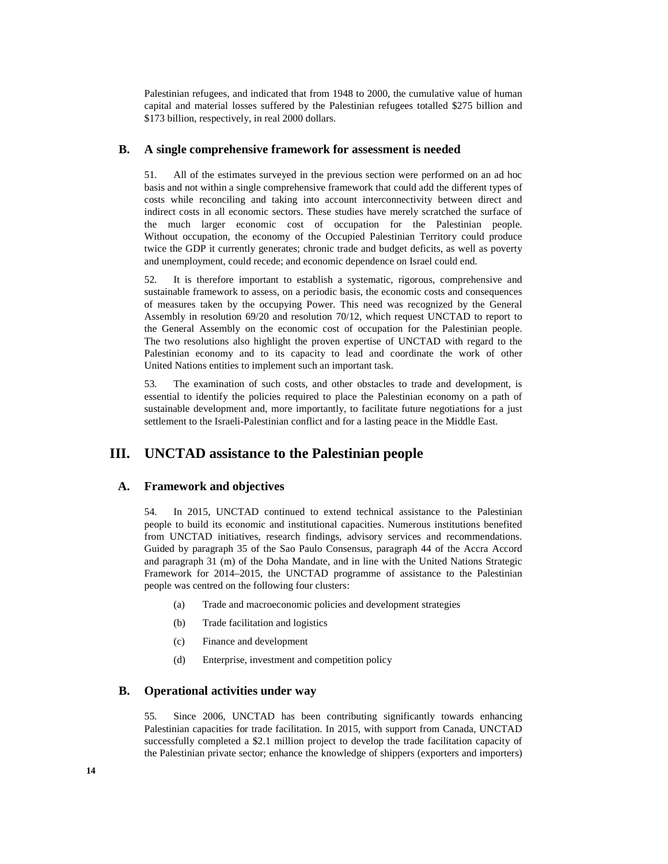Palestinian refugees, and indicated that from 1948 to 2000, the cumulative value of human capital and material losses suffered by the Palestinian refugees totalled \$275 billion and \$173 billion, respectively, in real 2000 dollars.

### **B. A single comprehensive framework for assessment is needed**

51. All of the estimates surveyed in the previous section were performed on an ad hoc basis and not within a single comprehensive framework that could add the different types of costs while reconciling and taking into account interconnectivity between direct and indirect costs in all economic sectors. These studies have merely scratched the surface of the much larger economic cost of occupation for the Palestinian people. Without occupation, the economy of the Occupied Palestinian Territory could produce twice the GDP it currently generates; chronic trade and budget deficits, as well as poverty and unemployment, could recede; and economic dependence on Israel could end.

52. It is therefore important to establish a systematic, rigorous, comprehensive and sustainable framework to assess, on a periodic basis, the economic costs and consequences of measures taken by the occupying Power. This need was recognized by the General Assembly in resolution 69/20 and resolution 70/12, which request UNCTAD to report to the General Assembly on the economic cost of occupation for the Palestinian people. The two resolutions also highlight the proven expertise of UNCTAD with regard to the Palestinian economy and to its capacity to lead and coordinate the work of other United Nations entities to implement such an important task.

53. The examination of such costs, and other obstacles to trade and development, is essential to identify the policies required to place the Palestinian economy on a path of sustainable development and, more importantly, to facilitate future negotiations for a just settlement to the Israeli-Palestinian conflict and for a lasting peace in the Middle East.

### **III. UNCTAD assistance to the Palestinian people**

### **A. Framework and objectives**

54. In 2015, UNCTAD continued to extend technical assistance to the Palestinian people to build its economic and institutional capacities. Numerous institutions benefited from UNCTAD initiatives, research findings, advisory services and recommendations. Guided by paragraph 35 of the Sao Paulo Consensus, paragraph 44 of the Accra Accord and paragraph 31 (m) of the Doha Mandate, and in line with the United Nations Strategic Framework for 2014–2015, the UNCTAD programme of assistance to the Palestinian people was centred on the following four clusters:

- (a) Trade and macroeconomic policies and development strategies
- (b) Trade facilitation and logistics
- (c) Finance and development
- (d) Enterprise, investment and competition policy

### **B. Operational activities under way**

55. Since 2006, UNCTAD has been contributing significantly towards enhancing Palestinian capacities for trade facilitation. In 2015, with support from Canada, UNCTAD successfully completed a \$2.1 million project to develop the trade facilitation capacity of the Palestinian private sector; enhance the knowledge of shippers (exporters and importers)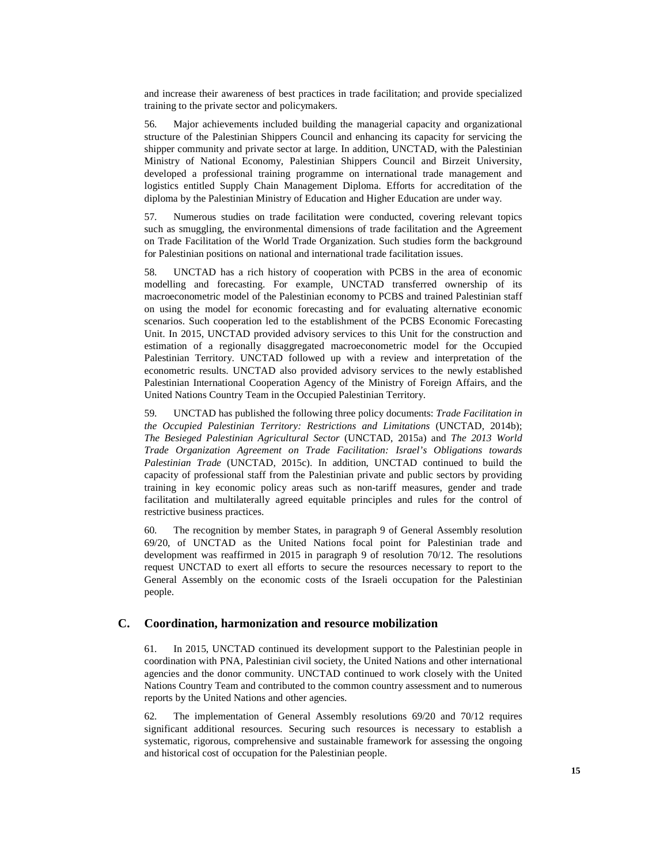and increase their awareness of best practices in trade facilitation; and provide specialized training to the private sector and policymakers.

56. Major achievements included building the managerial capacity and organizational structure of the Palestinian Shippers Council and enhancing its capacity for servicing the shipper community and private sector at large. In addition, UNCTAD, with the Palestinian Ministry of National Economy, Palestinian Shippers Council and Birzeit University, developed a professional training programme on international trade management and logistics entitled Supply Chain Management Diploma. Efforts for accreditation of the diploma by the Palestinian Ministry of Education and Higher Education are under way.

57. Numerous studies on trade facilitation were conducted, covering relevant topics such as smuggling, the environmental dimensions of trade facilitation and the Agreement on Trade Facilitation of the World Trade Organization. Such studies form the background for Palestinian positions on national and international trade facilitation issues.

58. UNCTAD has a rich history of cooperation with PCBS in the area of economic modelling and forecasting. For example, UNCTAD transferred ownership of its macroeconometric model of the Palestinian economy to PCBS and trained Palestinian staff on using the model for economic forecasting and for evaluating alternative economic scenarios. Such cooperation led to the establishment of the PCBS Economic Forecasting Unit. In 2015, UNCTAD provided advisory services to this Unit for the construction and estimation of a regionally disaggregated macroeconometric model for the Occupied Palestinian Territory. UNCTAD followed up with a review and interpretation of the econometric results. UNCTAD also provided advisory services to the newly established Palestinian International Cooperation Agency of the Ministry of Foreign Affairs, and the United Nations Country Team in the Occupied Palestinian Territory.

59. UNCTAD has published the following three policy documents: *Trade Facilitation in the Occupied Palestinian Territory: Restrictions and Limitations* (UNCTAD, 2014b); *The Besieged Palestinian Agricultural Sector* (UNCTAD, 2015a) and *The 2013 World Trade Organization Agreement on Trade Facilitation: Israel's Obligations towards Palestinian Trade* (UNCTAD, 2015c). In addition, UNCTAD continued to build the capacity of professional staff from the Palestinian private and public sectors by providing training in key economic policy areas such as non-tariff measures, gender and trade facilitation and multilaterally agreed equitable principles and rules for the control of restrictive business practices.

60. The recognition by member States, in paragraph 9 of General Assembly resolution 69/20, of UNCTAD as the United Nations focal point for Palestinian trade and development was reaffirmed in 2015 in paragraph 9 of resolution 70/12. The resolutions request UNCTAD to exert all efforts to secure the resources necessary to report to the General Assembly on the economic costs of the Israeli occupation for the Palestinian people.

### **C. Coordination, harmonization and resource mobilization**

61. In 2015, UNCTAD continued its development support to the Palestinian people in coordination with PNA, Palestinian civil society, the United Nations and other international agencies and the donor community. UNCTAD continued to work closely with the United Nations Country Team and contributed to the common country assessment and to numerous reports by the United Nations and other agencies.

62. The implementation of General Assembly resolutions 69/20 and 70/12 requires significant additional resources. Securing such resources is necessary to establish a systematic, rigorous, comprehensive and sustainable framework for assessing the ongoing and historical cost of occupation for the Palestinian people.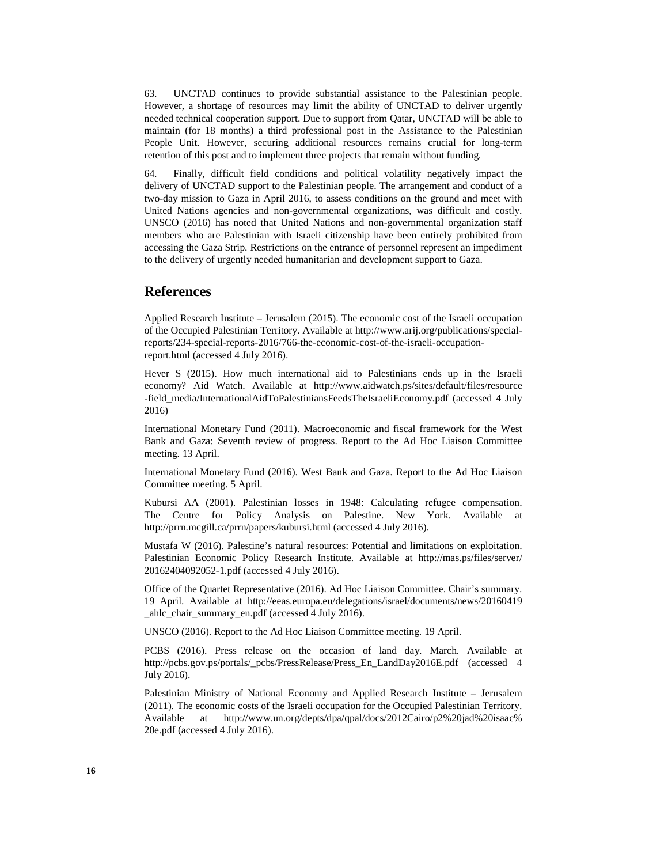63. UNCTAD continues to provide substantial assistance to the Palestinian people. However, a shortage of resources may limit the ability of UNCTAD to deliver urgently needed technical cooperation support. Due to support from Qatar, UNCTAD will be able to maintain (for 18 months) a third professional post in the Assistance to the Palestinian People Unit. However, securing additional resources remains crucial for long-term retention of this post and to implement three projects that remain without funding.

64. Finally, difficult field conditions and political volatility negatively impact the delivery of UNCTAD support to the Palestinian people. The arrangement and conduct of a two-day mission to Gaza in April 2016, to assess conditions on the ground and meet with United Nations agencies and non-governmental organizations, was difficult and costly. UNSCO (2016) has noted that United Nations and non-governmental organization staff members who are Palestinian with Israeli citizenship have been entirely prohibited from accessing the Gaza Strip. Restrictions on the entrance of personnel represent an impediment to the delivery of urgently needed humanitarian and development support to Gaza.

### **References**

Applied Research Institute – Jerusalem (2015). The economic cost of the Israeli occupation of the Occupied Palestinian Territory. Available at http://www.arij.org/publications/specialreports/234-special-reports-2016/766-the-economic-cost-of-the-israeli-occupationreport.html (accessed 4 July 2016).

Hever S (2015). How much international aid to Palestinians ends up in the Israeli economy? Aid Watch. Available at http://www.aidwatch.ps/sites/default/files/resource -field\_media/InternationalAidToPalestiniansFeedsTheIsraeliEconomy.pdf (accessed 4 July 2016)

International Monetary Fund (2011). Macroeconomic and fiscal framework for the West Bank and Gaza: Seventh review of progress. Report to the Ad Hoc Liaison Committee meeting. 13 April.

International Monetary Fund (2016). West Bank and Gaza. Report to the Ad Hoc Liaison Committee meeting. 5 April.

Kubursi AA (2001). Palestinian losses in 1948: Calculating refugee compensation. The Centre for Policy Analysis on Palestine. New York. Available http://prrn.mcgill.ca/prrn/papers/kubursi.html (accessed 4 July 2016).

Mustafa W (2016). Palestine's natural resources: Potential and limitations on exploitation. Palestinian Economic Policy Research Institute. Available at http://mas.ps/files/server/ 20162404092052-1.pdf (accessed 4 July 2016).

Office of the Quartet Representative (2016). Ad Hoc Liaison Committee. Chair's summary. 19 April. Available at http://eeas.europa.eu/delegations/israel/documents/news/20160419 \_ahlc\_chair\_summary\_en.pdf (accessed 4 July 2016).

UNSCO (2016). Report to the Ad Hoc Liaison Committee meeting. 19 April.

PCBS (2016). Press release on the occasion of land day. March. Available at http://pcbs.gov.ps/portals/\_pcbs/PressRelease/Press\_En\_LandDay2016E.pdf (accessed 4 July 2016).

Palestinian Ministry of National Economy and Applied Research Institute – Jerusalem (2011). The economic costs of the Israeli occupation for the Occupied Palestinian Territory. Available at http://www.un.org/depts/dpa/qpal/docs/2012Cairo/p2%20jad%20isaac% 20e.pdf (accessed 4 July 2016).